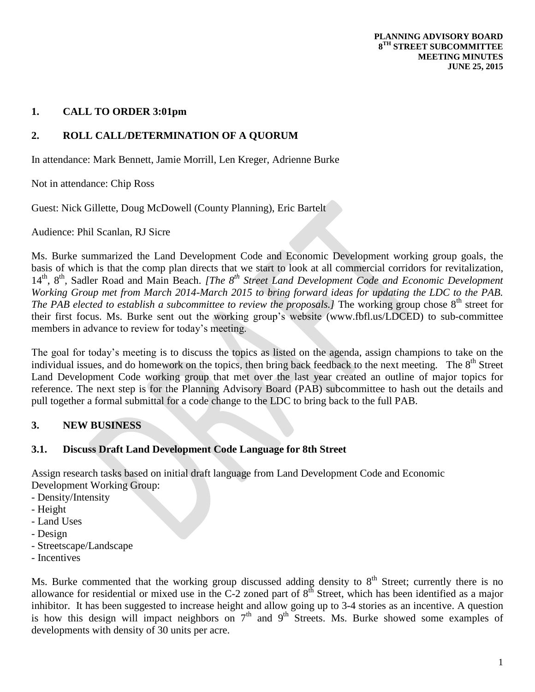# **1. CALL TO ORDER 3:01pm**

# **2. ROLL CALL/DETERMINATION OF A QUORUM**

In attendance: Mark Bennett, Jamie Morrill, Len Kreger, Adrienne Burke

Not in attendance: Chip Ross

Guest: Nick Gillette, Doug McDowell (County Planning), Eric Bartelt

Audience: Phil Scanlan, RJ Sicre

Ms. Burke summarized the Land Development Code and Economic Development working group goals, the basis of which is that the comp plan directs that we start to look at all commercial corridors for revitalization, 14th, 8th, Sadler Road and Main Beach. *[The 8th Street Land Development Code and Economic Development Working Group met from March 2014-March 2015 to bring forward ideas for updating the LDC to the PAB. The PAB elected to establish a subcommittee to review the proposals.]* The working group chose 8<sup>th</sup> street for their first focus. Ms. Burke sent out the working group's website (www.fbfl.us/LDCED) to sub-committee members in advance to review for today's meeting.

The goal for today's meeting is to discuss the topics as listed on the agenda, assign champions to take on the individual issues, and do homework on the topics, then bring back feedback to the next meeting. The 8<sup>th</sup> Street Land Development Code working group that met over the last year created an outline of major topics for reference. The next step is for the Planning Advisory Board (PAB) subcommittee to hash out the details and pull together a formal submittal for a code change to the LDC to bring back to the full PAB.

## **3. NEW BUSINESS**

## **3.1. Discuss Draft Land Development Code Language for 8th Street**

Assign research tasks based on initial draft language from Land Development Code and Economic Development Working Group:

- Density/Intensity
- Height
- Land Uses
- Design
- Streetscape/Landscape
- Incentives

Ms. Burke commented that the working group discussed adding density to  $8<sup>th</sup>$  Street; currently there is no allowance for residential or mixed use in the C-2 zoned part of 8<sup>th</sup> Street, which has been identified as a major inhibitor. It has been suggested to increase height and allow going up to 3-4 stories as an incentive. A question is how this design will impact neighbors on  $7<sup>th</sup>$  and  $9<sup>th</sup>$  Streets. Ms. Burke showed some examples of developments with density of 30 units per acre.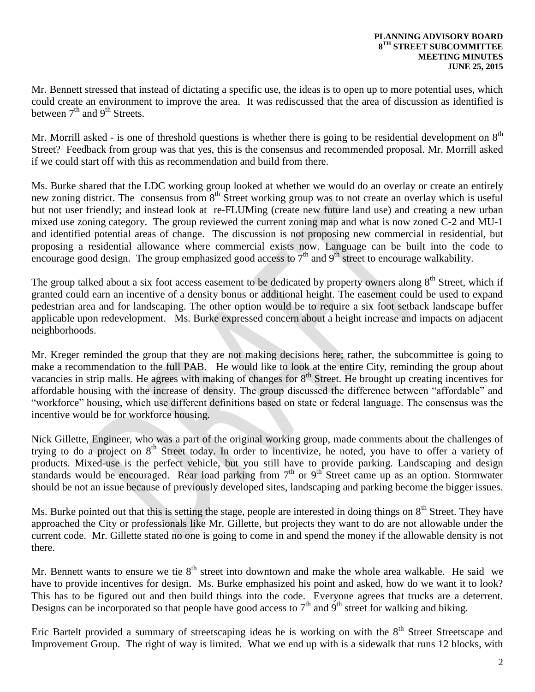Mr. Bennett stressed that instead of dictating a specific use, the ideas is to open up to more potential uses, which could create an environment to improve the area. It was rediscussed that the area of discussion as identified is between  $7<sup>th</sup>$  and  $9<sup>th</sup>$  Streets.

Mr. Morrill asked - is one of threshold questions is whether there is going to be residential development on  $8<sup>th</sup>$ Street? Feedback from group was that yes, this is the consensus and recommended proposal. Mr. Morrill asked if we could start off with this as recommendation and build from there.

Ms. Burke shared that the LDC working group looked at whether we would do an overlay or create an entirely new zoning district. The consensus from 8<sup>th</sup> Street working group was to not create an overlay which is useful but not user friendly; and instead look at re-FLUMing (create new future land use) and creating a new urban mixed use zoning category. The group reviewed the current zoning map and what is now zoned C-2 and MU-1 and identified potential areas of change. The discussion is not proposing new commercial in residential, but proposing a residential allowance where commercial exists now. Language can be built into the code to encourage good design. The group emphasized good access to  $7<sup>th</sup>$  and  $9<sup>th</sup>$  street to encourage walkability.

The group talked about a six foot access easement to be dedicated by property owners along  $8<sup>th</sup>$  Street, which if granted could earn an incentive of a density bonus or additional height. The easement could be used to expand pedestrian area and for landscaping. The other option would be to require a six foot setback landscape buffer applicable upon redevelopment. Ms. Burke expressed concern about a height increase and impacts on adjacent neighborhoods.

Mr. Kreger reminded the group that they are not making decisions here; rather, the subcommittee is going to make a recommendation to the full PAB. He would like to look at the entire City, reminding the group about vacancies in strip malls. He agrees with making of changes for  $8<sup>th</sup>$  Street. He brought up creating incentives for affordable housing with the increase of density. The group discussed the difference between "affordable" and "workforce" housing, which use different definitions based on state or federal language. The consensus was the incentive would be for workforce housing.

Nick Gillette, Engineer, who was a part of the original working group, made comments about the challenges of trying to do a project on 8<sup>th</sup> Street today. In order to incentivize, he noted, you have to offer a variety of products. Mixed-use is the perfect vehicle, but you still have to provide parking. Landscaping and design standards would be encouraged. Rear load parking from  $7<sup>th</sup>$  or  $9<sup>th</sup>$  Street came up as an option. Stormwater should be not an issue because of previously developed sites, landscaping and parking become the bigger issues.

Ms. Burke pointed out that this is setting the stage, people are interested in doing things on  $8<sup>th</sup>$  Street. They have approached the City or professionals like Mr. Gillette, but projects they want to do are not allowable under the current code. Mr. Gillette stated no one is going to come in and spend the money if the allowable density is not there.

Mr. Bennett wants to ensure we tie  $8<sup>th</sup>$  street into downtown and make the whole area walkable. He said we have to provide incentives for design. Ms. Burke emphasized his point and asked, how do we want it to look? This has to be figured out and then build things into the code. Everyone agrees that trucks are a deterrent. Designs can be incorporated so that people have good access to  $7<sup>th</sup>$  and  $9<sup>th</sup>$  street for walking and biking.

Eric Bartelt provided a summary of streetscaping ideas he is working on with the 8<sup>th</sup> Street Streetscape and Improvement Group. The right of way is limited. What we end up with is a sidewalk that runs 12 blocks, with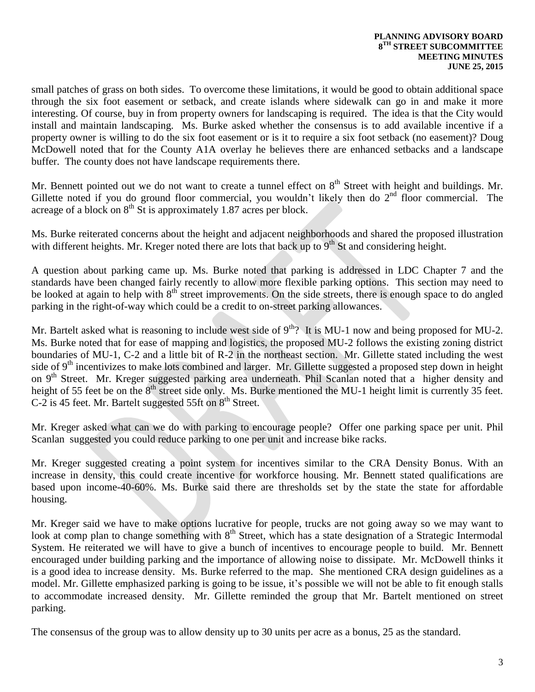small patches of grass on both sides. To overcome these limitations, it would be good to obtain additional space through the six foot easement or setback, and create islands where sidewalk can go in and make it more interesting. Of course, buy in from property owners for landscaping is required. The idea is that the City would install and maintain landscaping. Ms. Burke asked whether the consensus is to add available incentive if a property owner is willing to do the six foot easement or is it to require a six foot setback (no easement)? Doug McDowell noted that for the County A1A overlay he believes there are enhanced setbacks and a landscape buffer. The county does not have landscape requirements there.

Mr. Bennett pointed out we do not want to create a tunnel effect on  $8<sup>th</sup>$  Street with height and buildings. Mr. Gillette noted if you do ground floor commercial, you wouldn't likely then do  $2<sup>nd</sup>$  floor commercial. The acreage of a block on  $8<sup>th</sup>$  St is approximately 1.87 acres per block.

Ms. Burke reiterated concerns about the height and adjacent neighborhoods and shared the proposed illustration with different heights. Mr. Kreger noted there are lots that back up to  $9<sup>th</sup>$  St and considering height.

A question about parking came up. Ms. Burke noted that parking is addressed in LDC Chapter 7 and the standards have been changed fairly recently to allow more flexible parking options. This section may need to be looked at again to help with  $8<sup>th</sup>$  street improvements. On the side streets, there is enough space to do angled parking in the right-of-way which could be a credit to on-street parking allowances.

Mr. Bartelt asked what is reasoning to include west side of  $9<sup>th</sup>$ ? It is MU-1 now and being proposed for MU-2. Ms. Burke noted that for ease of mapping and logistics, the proposed MU-2 follows the existing zoning district boundaries of MU-1, C-2 and a little bit of R-2 in the northeast section. Mr. Gillette stated including the west side of  $9<sup>th</sup>$  incentivizes to make lots combined and larger. Mr. Gillette suggested a proposed step down in height on 9<sup>th</sup> Street. Mr. Kreger suggested parking area underneath. Phil Scanlan noted that a higher density and height of 55 feet be on the 8<sup>th</sup> street side only. Ms. Burke mentioned the MU-1 height limit is currently 35 feet. C-2 is 45 feet. Mr. Bartelt suggested 55ft on 8<sup>th</sup> Street.

Mr. Kreger asked what can we do with parking to encourage people? Offer one parking space per unit. Phil Scanlan suggested you could reduce parking to one per unit and increase bike racks.

Mr. Kreger suggested creating a point system for incentives similar to the CRA Density Bonus. With an increase in density, this could create incentive for workforce housing. Mr. Bennett stated qualifications are based upon income-40-60%. Ms. Burke said there are thresholds set by the state the state for affordable housing.

Mr. Kreger said we have to make options lucrative for people, trucks are not going away so we may want to look at comp plan to change something with 8<sup>th</sup> Street, which has a state designation of a Strategic Intermodal System. He reiterated we will have to give a bunch of incentives to encourage people to build. Mr. Bennett encouraged under building parking and the importance of allowing noise to dissipate. Mr. McDowell thinks it is a good idea to increase density. Ms. Burke referred to the map. She mentioned CRA design guidelines as a model. Mr. Gillette emphasized parking is going to be issue, it's possible we will not be able to fit enough stalls to accommodate increased density. Mr. Gillette reminded the group that Mr. Bartelt mentioned on street parking.

The consensus of the group was to allow density up to 30 units per acre as a bonus, 25 as the standard.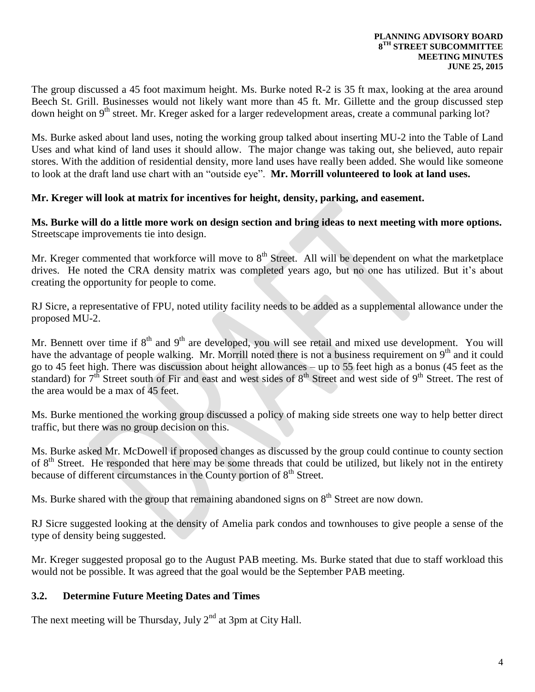The group discussed a 45 foot maximum height. Ms. Burke noted R-2 is 35 ft max, looking at the area around Beech St. Grill. Businesses would not likely want more than 45 ft. Mr. Gillette and the group discussed step down height on 9<sup>th</sup> street. Mr. Kreger asked for a larger redevelopment areas, create a communal parking lot?

Ms. Burke asked about land uses, noting the working group talked about inserting MU-2 into the Table of Land Uses and what kind of land uses it should allow. The major change was taking out, she believed, auto repair stores. With the addition of residential density, more land uses have really been added. She would like someone to look at the draft land use chart with an "outside eye". **Mr. Morrill volunteered to look at land uses.**

#### **Mr. Kreger will look at matrix for incentives for height, density, parking, and easement.**

**Ms. Burke will do a little more work on design section and bring ideas to next meeting with more options.**  Streetscape improvements tie into design.

Mr. Kreger commented that workforce will move to 8<sup>th</sup> Street. All will be dependent on what the marketplace drives. He noted the CRA density matrix was completed years ago, but no one has utilized. But it's about creating the opportunity for people to come.

RJ Sicre, a representative of FPU, noted utility facility needs to be added as a supplemental allowance under the proposed MU-2.

Mr. Bennett over time if  $8<sup>th</sup>$  and  $9<sup>th</sup>$  are developed, you will see retail and mixed use development. You will have the advantage of people walking. Mr. Morrill noted there is not a business requirement on  $9<sup>th</sup>$  and it could go to 45 feet high. There was discussion about height allowances – up to 55 feet high as a bonus (45 feet as the standard) for  $7<sup>th</sup>$  Street south of Fir and east and west sides of  $8<sup>th</sup>$  Street and west side of  $9<sup>th</sup>$  Street. The rest of the area would be a max of 45 feet.

Ms. Burke mentioned the working group discussed a policy of making side streets one way to help better direct traffic, but there was no group decision on this.

Ms. Burke asked Mr. McDowell if proposed changes as discussed by the group could continue to county section of 8<sup>th</sup> Street. He responded that here may be some threads that could be utilized, but likely not in the entirety because of different circumstances in the County portion of  $8<sup>th</sup>$  Street.

Ms. Burke shared with the group that remaining abandoned signs on 8<sup>th</sup> Street are now down.

RJ Sicre suggested looking at the density of Amelia park condos and townhouses to give people a sense of the type of density being suggested.

Mr. Kreger suggested proposal go to the August PAB meeting. Ms. Burke stated that due to staff workload this would not be possible. It was agreed that the goal would be the September PAB meeting.

## **3.2. Determine Future Meeting Dates and Times**

The next meeting will be Thursday, July  $2<sup>nd</sup>$  at 3pm at City Hall.